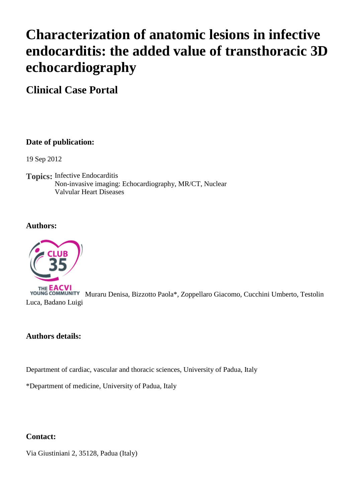# **Characterization of anatomic lesions in infective endocarditis: the added value of transthoracic 3D echocardiography**

**Clinical Case Portal**

# **Date of publication:**

19 Sep 2012

**Topics:** Infective Endocarditis Non-invasive imaging: Echocardiography, MR/CT, Nuclear Valvular Heart Diseases

## **Authors:**



THE **EACVI**<br>YOUNG COMMUNITY Muraru Denisa, Bizzotto Paola\*, Zoppellaro Giacomo, Cucchini Umberto, Testolin Luca, Badano Luigi

## **Authors details:**

Department of cardiac, vascular and thoracic sciences, University of Padua, Italy

\*Department of medicine, University of Padua, Italy

## **Contact:**

Via Giustiniani 2, 35128, Padua (Italy)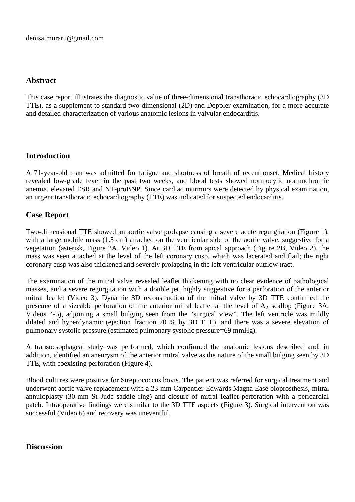## **Abstract**

This case report illustrates the diagnostic value of three-dimensional transthoracic echocardiography (3D TTE), as a supplement to standard two-dimensional (2D) and Doppler examination, for a more accurate and detailed characterization of various anatomic lesions in valvular endocarditis.

# **Introduction**

A 71-year-old man was admitted for fatigue and shortness of breath of recent onset. Medical history revealed low-grade fever in the past two weeks, and blood tests showed normocytic normochromic anemia, elevated ESR and NT-proBNP. Since cardiac murmurs were detected by physical examination, an urgent transthoracic echocardiography (TTE) was indicated for suspected endocarditis.

# **Case Report**

Two-dimensional TTE showed an aortic valve prolapse causing a severe acute regurgitation (Figure 1), with a large mobile mass (1.5 cm) attached on the ventricular side of the aortic valve, suggestive for a vegetation (asterisk, Figure 2A, Video 1). At 3D TTE from apical approach (Figure 2B, Video 2), the mass was seen attached at the level of the left coronary cusp, which was lacerated and flail; the right coronary cusp was also thickened and severely prolapsing in the left ventricular outflow tract.

The examination of the mitral valve revealed leaflet thickening with no clear evidence of pathological masses, and a severe regurgitation with a double jet, highly suggestive for a perforation of the anterior mitral leaflet (Video 3). Dynamic 3D reconstruction of the mitral valve by 3D TTE confirmed the presence of a sizeable perforation of the anterior mitral leaflet at the level of  $A_2$  scallop (Figure 3A, Videos 4-5), adjoining a small bulging seen from the "surgical view". The left ventricle was mildly dilated and hyperdynamic (ejection fraction 70 % by 3D TTE), and there was a severe elevation of pulmonary systolic pressure (estimated pulmonary systolic pressure=69 mmHg).

A transoesophageal study was performed, which confirmed the anatomic lesions described and, in addition, identified an aneurysm of the anterior mitral valve as the nature of the small bulging seen by 3D TTE, with coexisting perforation (Figure 4).

Blood cultures were positive for Streptococcus bovis. The patient was referred for surgical treatment and underwent aortic valve replacement with a 23-mm Carpentier-Edwards Magna Ease bioprosthesis, mitral annuloplasty (30-mm St Jude saddle ring) and closure of mitral leaflet perforation with a pericardial patch. Intraoperative findings were similar to the 3D TTE aspects (Figure 3). Surgical intervention was successful (Video 6) and recovery was uneventful.

#### **Discussion**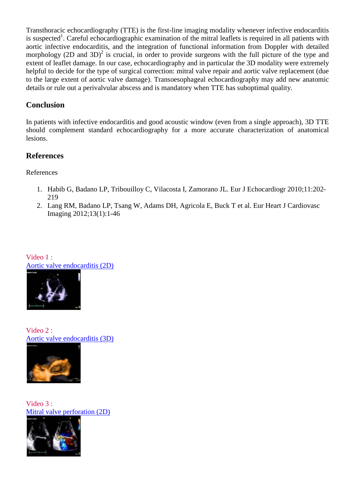Transthoracic echocardiography (TTE) is the first-line imaging modality whenever infective endocarditis is suspected<sup>1</sup>. Careful echocardiographic examination of the mitral leaflets is required in all patients with aortic infective endocarditis, and the integration of functional information from Doppler with detailed morphology (2D and 3D)<sup>2</sup> is crucial, in order to provide surgeons with the full picture of the type and extent of leaflet damage. In our case, echocardiography and in particular the 3D modality were extremely helpful to decide for the type of surgical correction: mitral valve repair and aortic valve replacement (due to the large extent of aortic valve damage). Transoesophageal echocardiography may add new anatomic details or rule out a perivalvular abscess and is mandatory when TTE has suboptimal quality.

# **Conclusion**

In patients with infective endocarditis and good acoustic window (even from a single approach), 3D TTE should complement standard echocardiography for a more accurate characterization of anatomical lesions.

## **References**

References

- 1. Habib G, Badano LP, Tribouilloy C, Vilacosta I, Zamorano JL. Eur J Echocardiogr 2010;11:202- 219
- 2. Lang RM, Badano LP, Tsang W, Adams DH, Agricola E, Buck T et al. Eur Heart J Cardiovasc Imaging 2012;13(1):1-46

Video 1 : [Aortic valve endocarditis \(2D\)](http://www.youtube.com/watch?v=pj_aXTbGnPE)



Video 2 : [Aortic valve endocarditis \(3D\)](http://www.youtube.com/watch?v=p5vXxnyTjx8)



Video 3 : [Mitral valve perforation \(2D\)](http://www.youtube.com/watch?v=229RHd7VdSU)

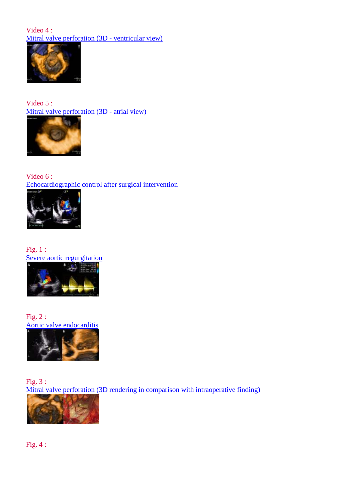#### Video 4 : [Mitral valve perforation \(3D - ventricular view\)](http://www.youtube.com/watch?v=0ROA4Fwg0M0)



Video 5 : [Mitral valve perforation \(3D - atrial view\)](http://www.youtube.com/watch?v=6dCxZumbCYY)



Video 6 : [Echocardiographic control after surgical intervention](http://www.youtube.com/watch?v=5Rv8foZs0fw)



Fig. 1 : [Severe aortic regurgitation](http://www.escardio.org/communities/EACVI/CasePortal/EAECasePictures/8963d309-caf9-4cbe-b699-b2a0dfcccc73/Figure%201.JPG)



Fig. 2 : [Aortic valve endocarditis](http://www.escardio.org/communities/EACVI/CasePortal/EAECasePictures/8963d309-caf9-4cbe-b699-b2a0dfcccc73/Figure%202.JPG)



Fig. 3 : [Mitral valve perforation \(3D rendering in comparison with intraoperative finding\)](http://www.escardio.org/communities/EACVI/CasePortal/EAECasePictures/8963d309-caf9-4cbe-b699-b2a0dfcccc73/Figure%203.JPG)

Fig. 4 :